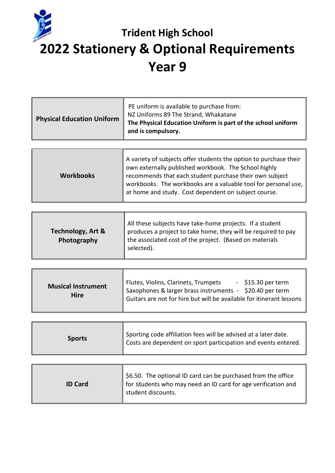

## **Trident High School 2022 Stationery & Optional Requirements Year 9**

| <b>Physical Education Uniform</b> | PE uniform is available to purchase from:<br>NZ Uniforms 89 The Strand, Whakatane<br>The Physical Education Uniform is part of the school uniform<br>and is compulsory. |
|-----------------------------------|-------------------------------------------------------------------------------------------------------------------------------------------------------------------------|
|                                   |                                                                                                                                                                         |

| <b>Workbooks</b> | A variety of subjects offer students the option to purchase their<br>own externally published workbook. The School highly<br>recommends that each student purchase their own subject<br>workbooks. The workbooks are a valuable tool for personal use,<br>at home and study. Cost dependent on subject course. |
|------------------|----------------------------------------------------------------------------------------------------------------------------------------------------------------------------------------------------------------------------------------------------------------------------------------------------------------|
|------------------|----------------------------------------------------------------------------------------------------------------------------------------------------------------------------------------------------------------------------------------------------------------------------------------------------------------|

| <b>Technology, Art &amp;</b><br>Photography | All these subjects have take-home projects. If a student<br>produces a project to take home, they will be required to pay<br>the associated cost of the project. (Based on materials<br>selected). |
|---------------------------------------------|----------------------------------------------------------------------------------------------------------------------------------------------------------------------------------------------------|
|                                             |                                                                                                                                                                                                    |

| <b>Sports</b> | Sporting code affiliation fees will be advised at a later date.<br>Costs are dependent on sport participation and events entered. |
|---------------|-----------------------------------------------------------------------------------------------------------------------------------|
|---------------|-----------------------------------------------------------------------------------------------------------------------------------|

| <b>ID Card</b> | \$6.50. The optional ID card can be purchased from the office<br>for students who may need an ID card for age verification and<br>student discounts. |
|----------------|------------------------------------------------------------------------------------------------------------------------------------------------------|
|----------------|------------------------------------------------------------------------------------------------------------------------------------------------------|